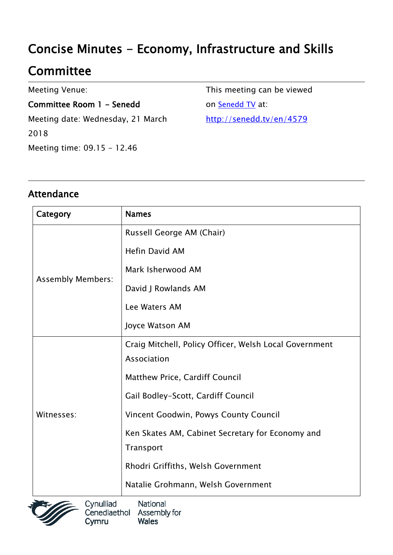# Concise Minutes - Economy, Infrastructure and Skills

## **Committee**

Meeting Venue:

Committee Room 1 - Senedd Meeting date: Wednesday, 21 March 2018 Meeting time: 09.15 - 12.46

This meeting can be viewed on [Senedd TV](http://senedd.tv/) at: http://senedd.tv/en/4579

#### Attendance

| Category                 | <b>Names</b>                                           |
|--------------------------|--------------------------------------------------------|
| <b>Assembly Members:</b> | Russell George AM (Chair)                              |
|                          | <b>Hefin David AM</b>                                  |
|                          | Mark Isherwood AM                                      |
|                          | David J Rowlands AM                                    |
|                          | Lee Waters AM                                          |
|                          | Joyce Watson AM                                        |
| Witnesses:               | Craig Mitchell, Policy Officer, Welsh Local Government |
|                          | Association                                            |
|                          | Matthew Price, Cardiff Council                         |
|                          | Gail Bodley-Scott, Cardiff Council                     |
|                          | Vincent Goodwin, Powys County Council                  |
|                          | Ken Skates AM, Cabinet Secretary for Economy and       |
|                          | Transport                                              |
|                          | Rhodri Griffiths, Welsh Government                     |
|                          | Natalie Grohmann, Welsh Government                     |

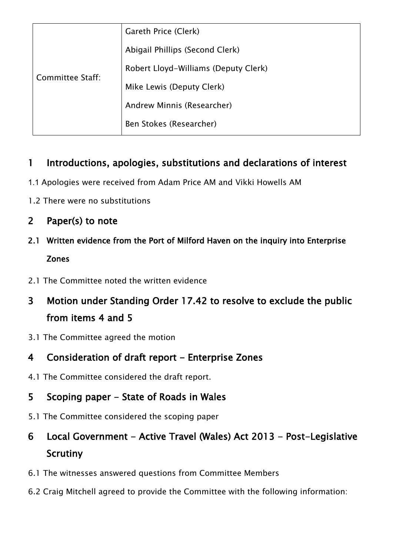| Committee Staff: | Gareth Price (Clerk)                 |
|------------------|--------------------------------------|
|                  | Abigail Phillips (Second Clerk)      |
|                  | Robert Lloyd-Williams (Deputy Clerk) |
|                  | Mike Lewis (Deputy Clerk)            |
|                  | Andrew Minnis (Researcher)           |
|                  | Ben Stokes (Researcher)              |
|                  |                                      |

#### 1 Introductions, apologies, substitutions and declarations of interest

- 1.1 Apologies were received from Adam Price AM and Vikki Howells AM
- 1.2 There were no substitutions
- 2 Paper(s) to note
- 2.1 Written evidence from the Port of Milford Haven on the inquiry into Enterprise Zones
- 2.1 The Committee noted the written evidence
- 3 Motion under Standing Order 17.42 to resolve to exclude the public from items 4 and 5
- 3.1 The Committee agreed the motion
- 4 Consideration of draft report Enterprise Zones
- 4.1 The Committee considered the draft report.

#### 5 Scoping paper – State of Roads in Wales

- 5.1 The Committee considered the scoping paper
- 6 Local Government Active Travel (Wales) Act 2013 Post-Legislative Scrutiny
- 6.1 The witnesses answered questions from Committee Members
- 6.2 Craig Mitchell agreed to provide the Committee with the following information: